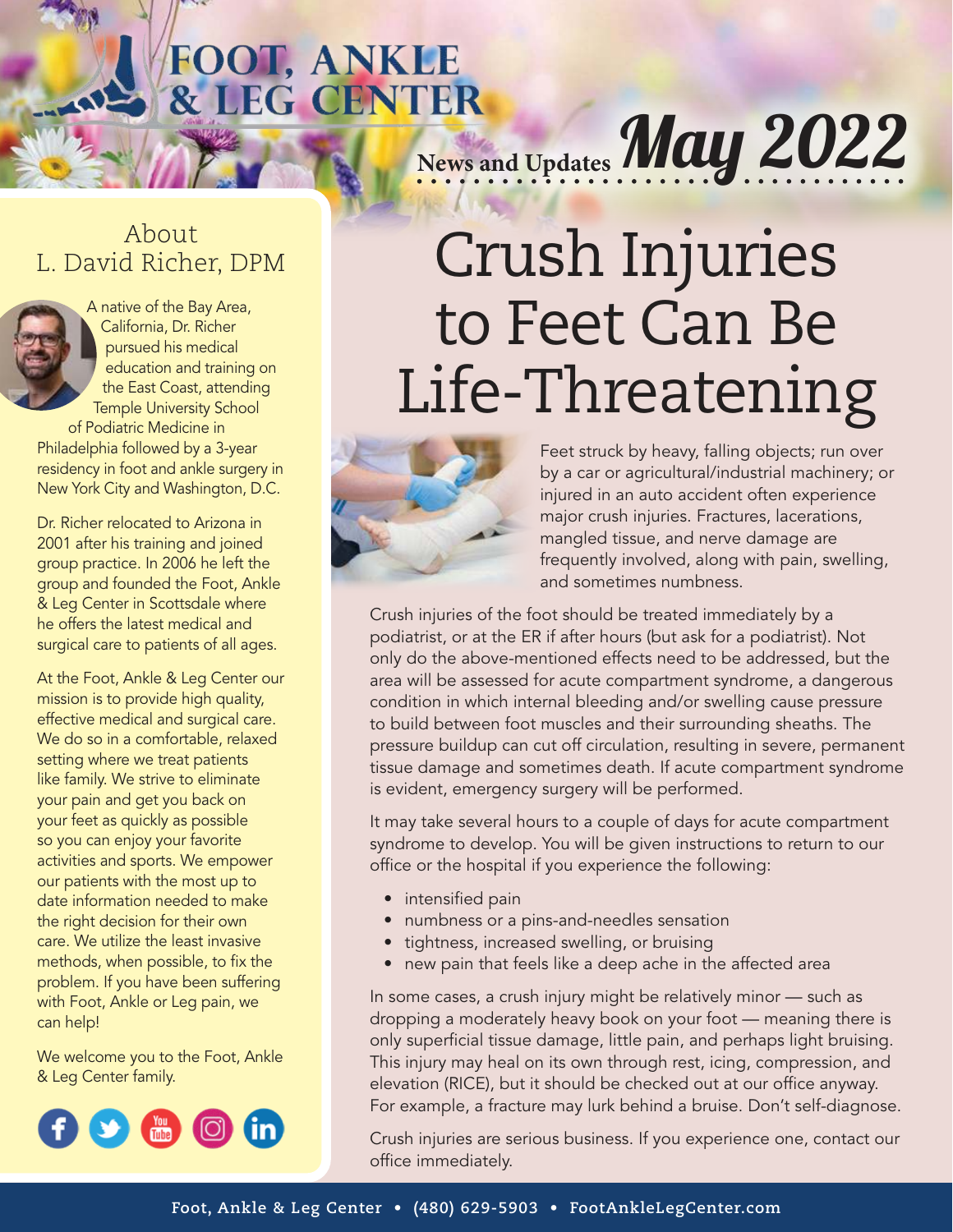# **FOOT, ANKLE & LEG CENTER**<br>& LEG CENTER<br>News and Updates May 2022

#### About L. David Richer, DPM

A native of the Bay Area, California, Dr. Richer pursued his medical education and training on the East Coast, attending Temple University School of Podiatric Medicine in Philadelphia followed by a 3-year residency in foot and ankle surgery in New York City and Washington, D.C.

Dr. Richer relocated to Arizona in 2001 after his training and joined group practice. In 2006 he left the group and founded the Foot, Ankle & Leg Center in Scottsdale where he offers the latest medical and surgical care to patients of all ages.

At the Foot, Ankle & Leg Center our mission is to provide high quality, effective medical and surgical care. We do so in a comfortable, relaxed setting where we treat patients like family. We strive to eliminate your pain and get you back on your feet as quickly as possible so you can enjoy your favorite activities and sports. We empower our patients with the most up to date information needed to make the right decision for their own care. We utilize the least invasive methods, when possible, to fix the problem. If you have been suffering with Foot, Ankle or Leg pain, we can help!

We welcome you to the Foot, Ankle & Leg Center family.



## Crush Injuries to Feet Can Be Life-Threatening



Feet struck by heavy, falling objects; run over by a car or agricultural/industrial machinery; or injured in an auto accident often experience major crush injuries. Fractures, lacerations, mangled tissue, and nerve damage are frequently involved, along with pain, swelling, and sometimes numbness.

Crush injuries of the foot should be treated immediately by a podiatrist, or at the ER if after hours (but ask for a podiatrist). Not only do the above-mentioned effects need to be addressed, but the area will be assessed for acute compartment syndrome, a dangerous condition in which internal bleeding and/or swelling cause pressure to build between foot muscles and their surrounding sheaths. The pressure buildup can cut off circulation, resulting in severe, permanent tissue damage and sometimes death. If acute compartment syndrome is evident, emergency surgery will be performed.

It may take several hours to a couple of days for acute compartment syndrome to develop. You will be given instructions to return to our office or the hospital if you experience the following:

- intensified pain
- numbness or a pins-and-needles sensation
- tightness, increased swelling, or bruising
- new pain that feels like a deep ache in the affected area

In some cases, a crush injury might be relatively minor — such as dropping a moderately heavy book on your foot — meaning there is only superficial tissue damage, little pain, and perhaps light bruising. This injury may heal on its own through rest, icing, compression, and elevation (RICE), but it should be checked out at our office anyway. For example, a fracture may lurk behind a bruise. Don't self-diagnose.

Crush injuries are serious business. If you experience one, contact our office immediately.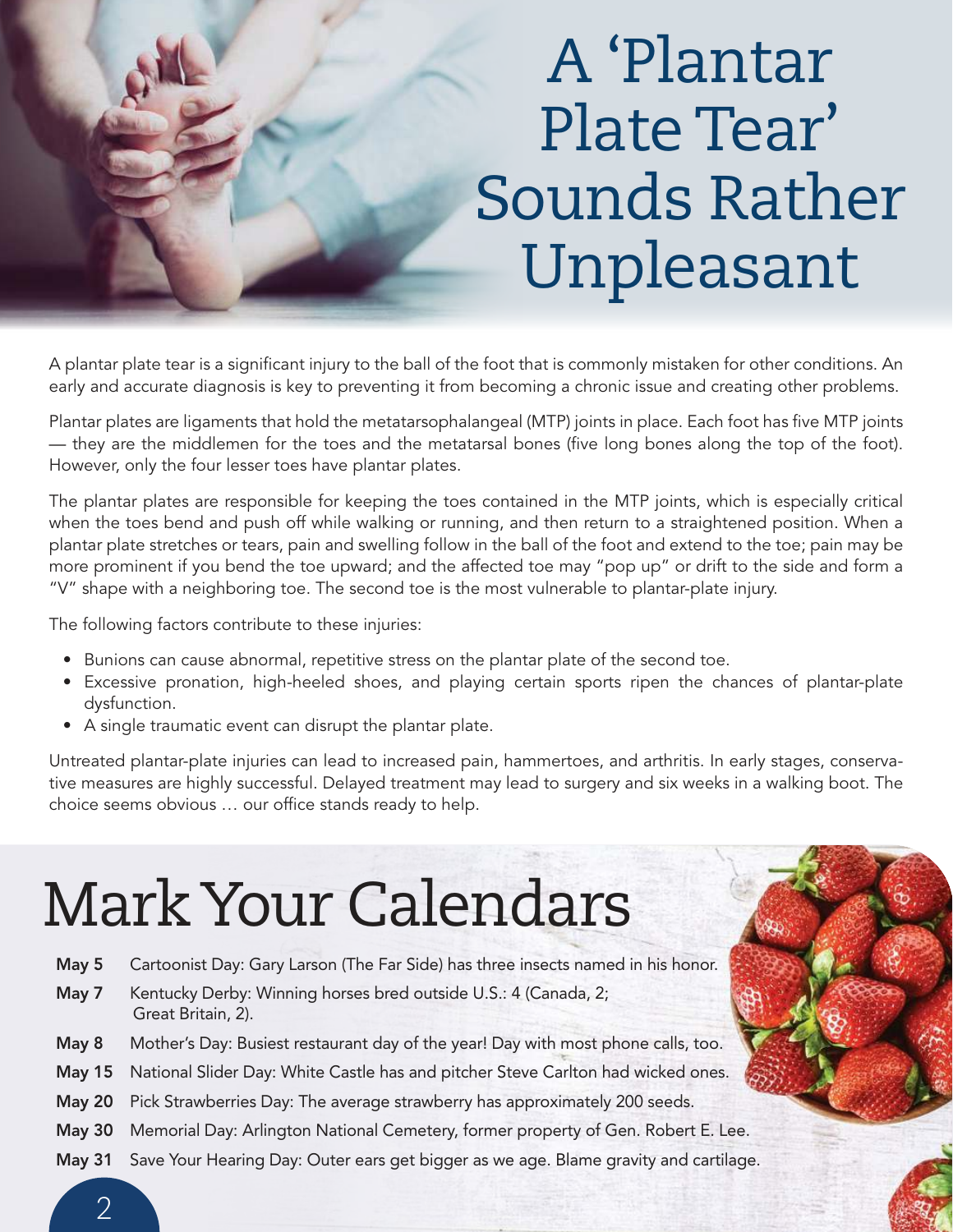### A 'Plantar Plate Tear' Sounds Rather Unpleasant

A plantar plate tear is a significant injury to the ball of the foot that is commonly mistaken for other conditions. An early and accurate diagnosis is key to preventing it from becoming a chronic issue and creating other problems.

Plantar plates are ligaments that hold the metatarsophalangeal (MTP) joints in place. Each foot has five MTP joints — they are the middlemen for the toes and the metatarsal bones (five long bones along the top of the foot). However, only the four lesser toes have plantar plates.

The plantar plates are responsible for keeping the toes contained in the MTP joints, which is especially critical when the toes bend and push off while walking or running, and then return to a straightened position. When a plantar plate stretches or tears, pain and swelling follow in the ball of the foot and extend to the toe; pain may be more prominent if you bend the toe upward; and the affected toe may "pop up" or drift to the side and form a "V" shape with a neighboring toe. The second toe is the most vulnerable to plantar-plate injury.

The following factors contribute to these injuries:

- Bunions can cause abnormal, repetitive stress on the plantar plate of the second toe.
- Excessive pronation, high-heeled shoes, and playing certain sports ripen the chances of plantar-plate dysfunction.
- A single traumatic event can disrupt the plantar plate.

Untreated plantar-plate injuries can lead to increased pain, hammertoes, and arthritis. In early stages, conservative measures are highly successful. Delayed treatment may lead to surgery and six weeks in a walking boot. The choice seems obvious ... our office stands ready to help.

## Mark Your Calendars

- May 5 Cartoonist Day: Gary Larson (The Far Side) has three insects named in his honor.
- May 7 Kentucky Derby: Winning horses bred outside U.S.: 4 (Canada, 2; Great Britain, 2).
- May 8 Mother's Day: Busiest restaurant day of the year! Day with most phone calls, too.
- May 15 National Slider Day: White Castle has and pitcher Steve Carlton had wicked ones.
- May 20 Pick Strawberries Day: The average strawberry has approximately 200 seeds.
- May 30 Memorial Day: Arlington National Cemetery, former property of Gen. Robert E. Lee.
- May 31 Save Your Hearing Day: Outer ears get bigger as we age. Blame gravity and cartilage.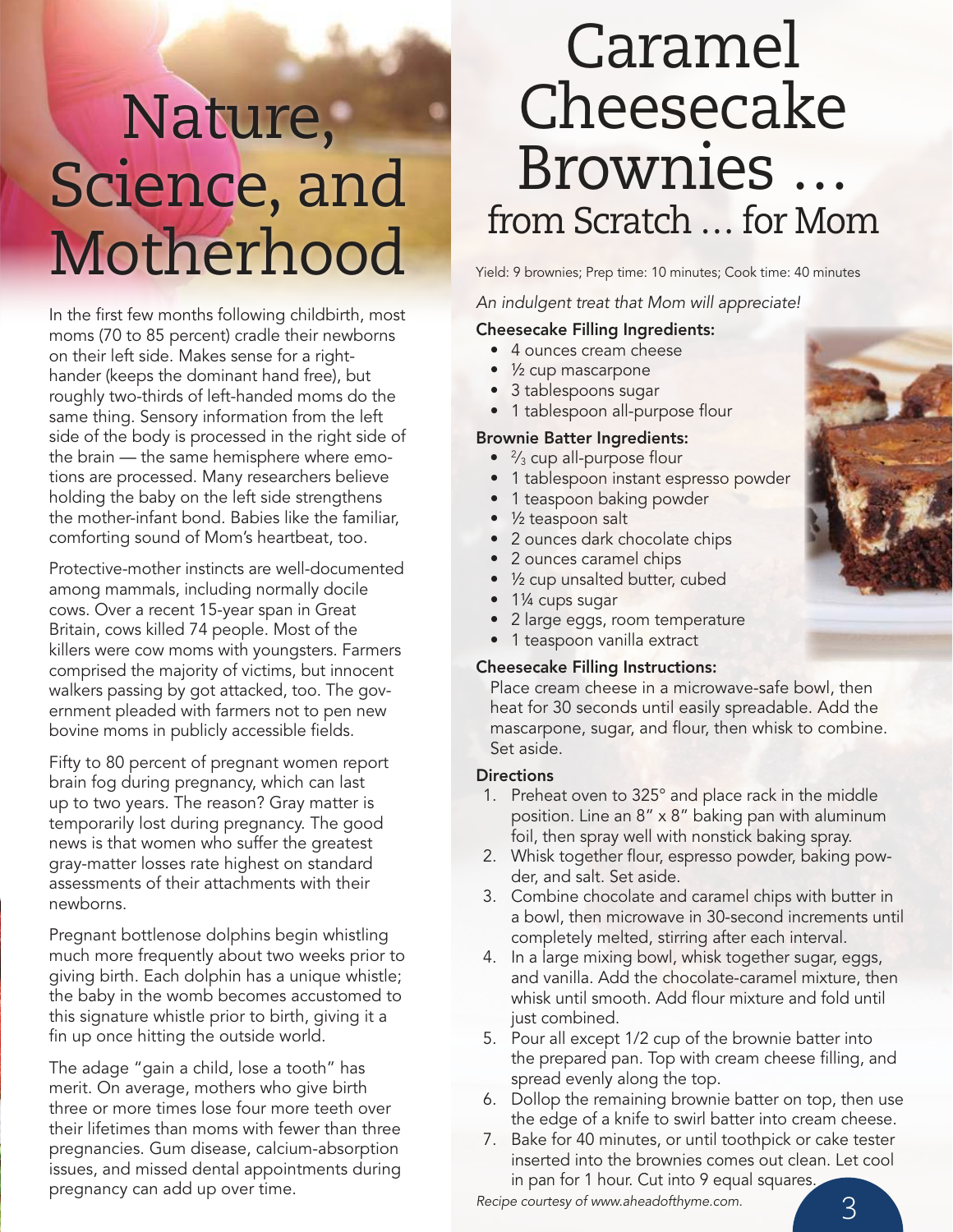### Nature, Science, and Motherhood Yield: 9 brownies; Prep time: 10 minutes; Cook time: 40 minutes

In the first few months following childbirth, most moms (70 to 85 percent) cradle their newborns on their left side. Makes sense for a righthander (keeps the dominant hand free), but roughly two-thirds of left-handed moms do the same thing. Sensory information from the left side of the body is processed in the right side of the brain — the same hemisphere where emotions are processed. Many researchers believe holding the baby on the left side strengthens the mother-infant bond. Babies like the familiar, comforting sound of Mom's heartbeat, too.

Protective-mother instincts are well-documented among mammals, including normally docile cows. Over a recent 15-year span in Great Britain, cows killed 74 people. Most of the killers were cow moms with youngsters. Farmers comprised the majority of victims, but innocent walkers passing by got attacked, too. The government pleaded with farmers not to pen new bovine moms in publicly accessible fields.

Fifty to 80 percent of pregnant women report brain fog during pregnancy, which can last up to two years. The reason? Gray matter is temporarily lost during pregnancy. The good news is that women who suffer the greatest gray-matter losses rate highest on standard assessments of their attachments with their newborns.

Pregnant bottlenose dolphins begin whistling much more frequently about two weeks prior to giving birth. Each dolphin has a unique whistle; the baby in the womb becomes accustomed to this signature whistle prior to birth, giving it a fin up once hitting the outside world.

The adage "gain a child, lose a tooth" has merit. On average, mothers who give birth three or more times lose four more teeth over their lifetimes than moms with fewer than three pregnancies. Gum disease, calcium-absorption issues, and missed dental appointments during pregnancy can add up over time.

### Caramel Cheesecake Brownies … from Scratch … for Mom

An indulgent treat that Mom will appreciate!

#### Cheesecake Filling Ingredients:

- 4 ounces cream cheese
- 1/<sub>2</sub> cup mascarpone
- 3 tablespoons sugar
- 1 tablespoon all-purpose flour

#### Brownie Batter Ingredients:

- $\bullet$   $\frac{2}{3}$  cup all-purpose flour
- 1 tablespoon instant espresso powder
- 1 teaspoon baking powder
- 1/<sub>2</sub> teaspoon salt
- 2 ounces dark chocolate chips
- 2 ounces caramel chips
- 1/<sub>2</sub> cup unsalted butter, cubed
- 1<sup>/4</sup> cups sugar
- 2 large eggs, room temperature
- 1 teaspoon vanilla extract

#### Cheesecake Filling Instructions:

Place cream cheese in a microwave-safe bowl, then heat for 30 seconds until easily spreadable. Add the mascarpone, sugar, and flour, then whisk to combine. Set aside.

#### **Directions**

- 1. Preheat oven to 325° and place rack in the middle position. Line an  $8'' \times 8''$  baking pan with aluminum foil, then spray well with nonstick baking spray.
- 2. Whisk together flour, espresso powder, baking powder, and salt. Set aside.
- 3. Combine chocolate and caramel chips with butter in a bowl, then microwave in 30-second increments until completely melted, stirring after each interval.
- 4. In a large mixing bowl, whisk together sugar, eggs, and vanilla. Add the chocolate-caramel mixture, then whisk until smooth. Add flour mixture and fold until just combined.
- 5. Pour all except 1/2 cup of the brownie batter into the prepared pan. Top with cream cheese filling, and spread evenly along the top.
- 6. Dollop the remaining brownie batter on top, then use the edge of a knife to swirl batter into cream cheese.
- 7. Bake for 40 minutes, or until toothpick or cake tester inserted into the brownies comes out clean. Let cool in pan for 1 hour. Cut into 9 equal squares.

Recipe courtesy of www.aheadofthyme.com.